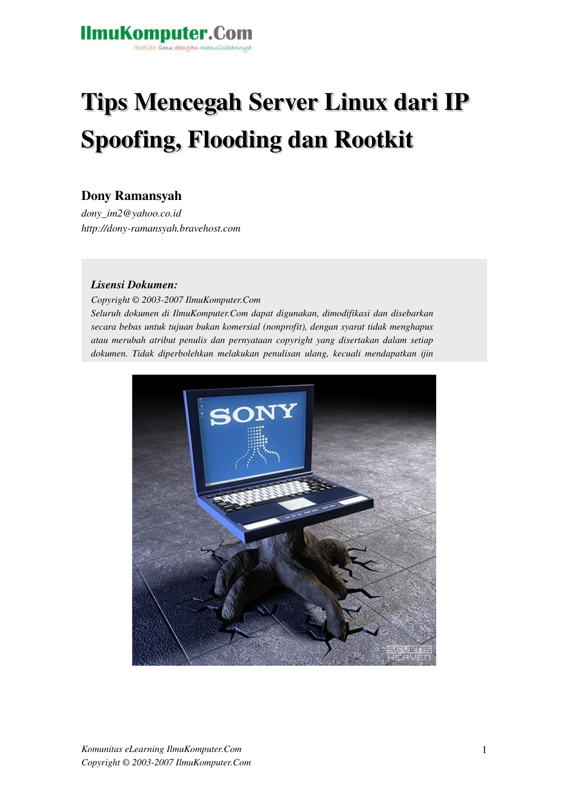### **IlmuKomputer.Com** ikatlah iimu dengan menuliskannya

# Tips Mencegah Server Linux dari IP Spoofing, Flooding dan Rootkit

# Dony Ramansyah

*dony\_im2@yahoo.co.id http://donyramansyah.bravehost.com*

#### *Lisensi Dokumen:*

*Copyright © 20032007 IlmuKomputer.Com Seluruh dokumen di IlmuKomputer.Com dapat digunakan, dimodifikasi dan disebarkan secara bebas untuk tujuan bukan komersial (nonprofit), dengan syarat tidak menghapus atau merubah atribut penulis dan pernyataan copyright yang disertakan dalam setiap dokumen. Tidak diperbolehkan melakukan penulisan ulang, kecuali mendapatkan ijin*

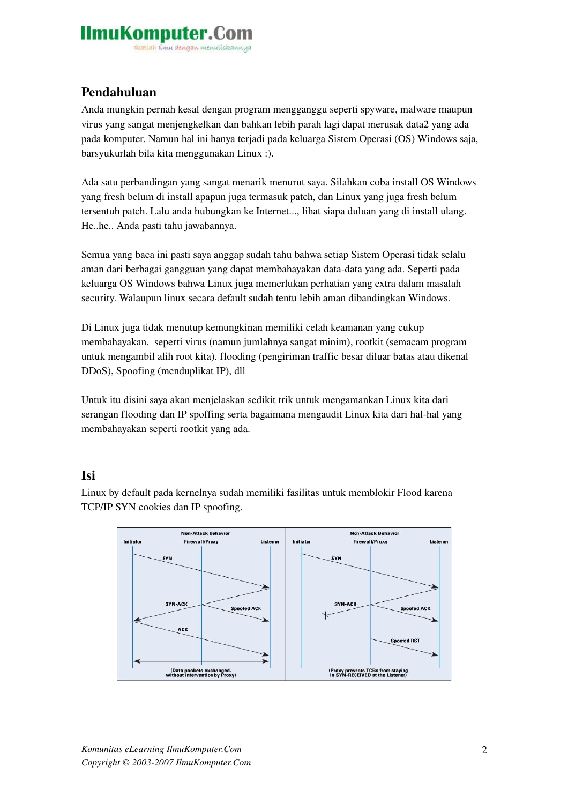### IlmuKomputer. ikatlah ilmu dengan menuliskannya

## Pendahuluan

Anda mungkin pernah kesal dengan program mengganggu seperti spyware, malware maupun virus yang sangat menjengkelkan dan bahkan lebih parah lagi dapat merusak data2 yang ada pada komputer. Namun hal ini hanya terjadi pada keluarga Sistem Operasi (OS) Windows saja, barsyukurlah bila kita menggunakan Linux :).

Ada satu perbandingan yang sangat menarik menurut saya. Silahkan coba install OS Windows yang fresh belum di install apapun juga termasuk patch, dan Linux yang juga fresh belum tersentuh patch. Lalu anda hubungkan ke Internet..., lihat siapa duluan yang di install ulang. He..he.. Anda pasti tahu jawabannya.

Semua yang baca ini pasti saya anggap sudah tahu bahwa setiap Sistem Operasi tidak selalu aman dari berbagai gangguan yang dapat membahayakan data-data yang ada. Seperti pada keluarga OS Windows bahwa Linux juga memerlukan perhatian yang extra dalam masalah security. Walaupun linux secara default sudah tentu lebih aman dibandingkan Windows.

Di Linux juga tidak menutup kemungkinan memiliki celah keamanan yang cukup membahayakan. seperti virus (namun jumlahnya sangat minim), rootkit (semacam program untuk mengambil alih root kita). flooding (pengiriman traffic besar diluar batas atau dikenal DDoS), Spoofing (menduplikat IP), dll

Untuk itu disini saya akan menjelaskan sedikit trik untuk mengamankan Linux kita dari serangan flooding dan IP spoffing serta bagaimana mengaudit Linux kita dari halhal yang membahayakan seperti rootkit yang ada.

#### Isi

Linux by default pada kernelnya sudah memiliki fasilitas untuk memblokir Flood karena TCP/IP SYN cookies dan IP spoofing.

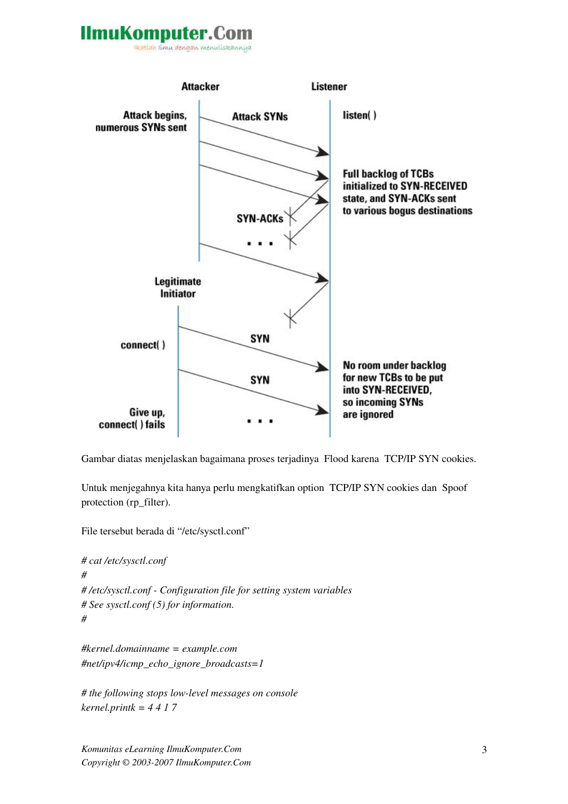# **IlmuKomputer.Com**

ikatlah iimu dengan menuliskannya



Gambar diatas menjelaskan bagaimana proses terjadinya Flood karena TCP/IP SYN cookies.

Untuk menjegahnya kita hanya perlu mengkatifkan option TCP/IP SYN cookies dan Spoof protection (rp\_filter).

File tersebut berada di "/etc/sysctl.conf"

```
# cat /etc/sysctl.conf 
#
# /etc/sysctl.conf  Configuration file for setting system variables
# See sysctl.conf (5) for information.
#
```

```
#kernel.domainname = example.com
#net/ipv4/icmp_echo_ignore_broadcasts=1
```

```
# the following stops lowlevel messages on console
kernel.printk = 4 4 1 7
```
*Komunitas eLearning IlmuKomputer.Com Copyright © 20032007 IlmuKomputer.Com*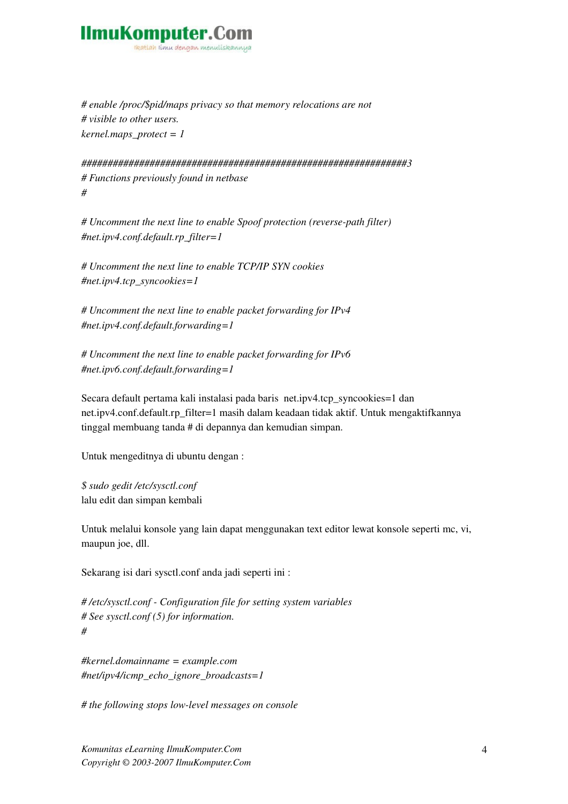*# enable /proc/\$pid/maps privacy so that memory relocations are not # visible to other users. kernel.maps\_protect = 1*

*##############################################################3 # Functions previously found in netbase # # enable /proc/Spid/maps privacy so that memory relocations are not*<br> *# enable /proc/Spid/maps privacy so that memory relocations are not*<br> *# visible to other users.*<br> *kernel.maps\_protect* = 1<br> *# Uncomment the next li* 

*#net.ipv4.conf.default.rp\_filter=1*

*# Uncomment the next line to enable TCP/IP SYN cookies #net.ipv4.tcp\_syncookies=1*

*# Uncomment the next line to enable packet forwarding for IPv4 #net.ipv4.conf.default.forwarding=1*

*# Uncomment the next line to enable packet forwarding for IPv6 #net.ipv6.conf.default.forwarding=1*

Secara default pertama kali instalasi pada baris net.ipv4.tcp\_syncookies=1 dan net.ipv4.conf.default.rp\_filter=1 masih dalam keadaan tidak aktif. Untuk mengaktifkannya tinggal membuang tanda # di depannya dan kemudian simpan.

Untuk mengeditnya di ubuntu dengan :

*\$ sudo gedit /etc/sysctl.conf* lalu edit dan simpan kembali

Untuk melalui konsole yang lain dapat menggunakan text editor lewat konsole seperti mc, vi, maupun joe, dll.

Sekarang isi dari sysctl.conf anda jadi seperti ini :

*# /etc/sysctl.conf Configuration file for setting system variables # See sysctl.conf (5) for information. #* 

*#kernel.domainname = example.com #net/ipv4/icmp\_echo\_ignore\_broadcasts=1* 

*# the following stops lowlevel messages on console* 

*Komunitas eLearning IlmuKomputer.Com Copyright © 20032007 IlmuKomputer.Com*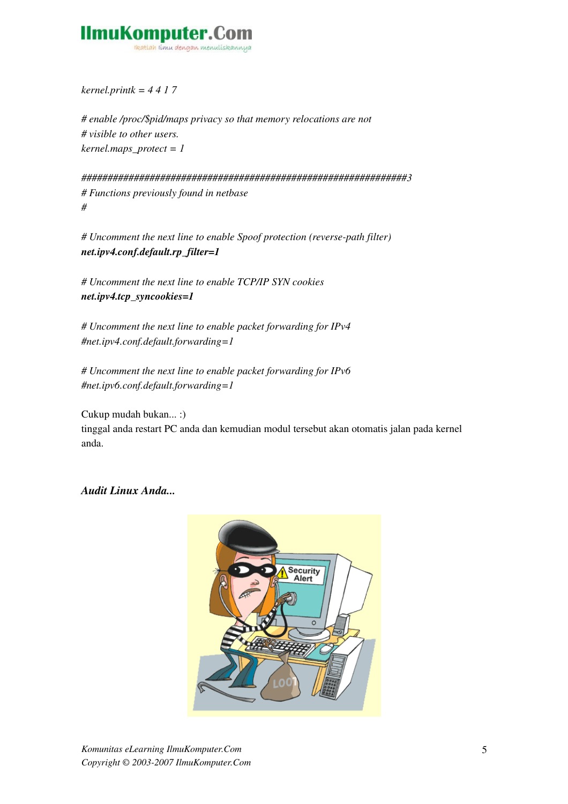# **IlmuKomputer.Co** ikatlah iimu dengan menuliskannya

*kernel.printk = 4 4 1 7* 

*# enable /proc/\$pid/maps privacy so that memory relocations are not # visible to other users. kernel.maps\_protect = 1* 

*##############################################################3 # Functions previously found in netbase #* 

# Uncomment the next line to enable Spoof protection (reverse-path filter) *net.ipv4.conf.default.rp\_filter=1* 

*# Uncomment the next line to enable TCP/IP SYN cookies net.ipv4.tcp\_syncookies=1*

*# Uncomment the next line to enable packet forwarding for IPv4 #net.ipv4.conf.default.forwarding=1* 

*# Uncomment the next line to enable packet forwarding for IPv6 #net.ipv6.conf.default.forwarding=1*

Cukup mudah bukan... :) tinggal anda restart PC anda dan kemudian modul tersebut akan otomatis jalan pada kernel anda.

#### *Audit Linux Anda...*

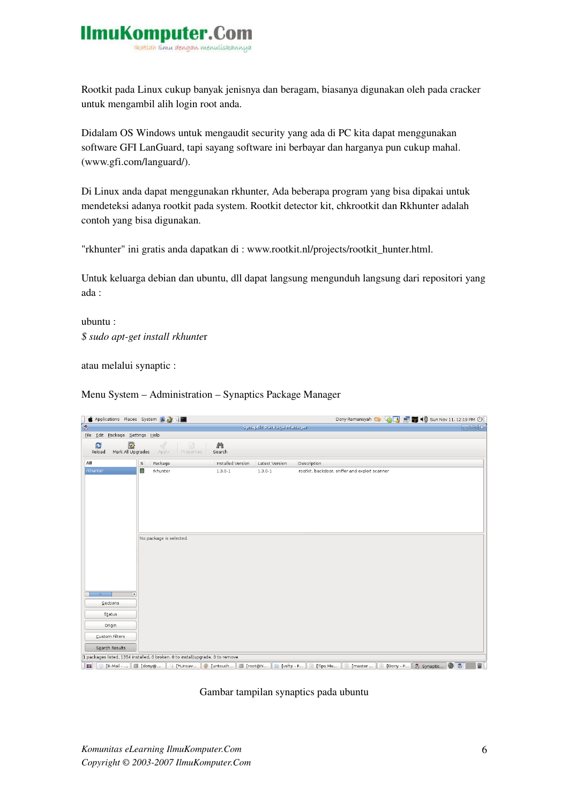

Rootkit pada Linux cukup banyak jenisnya dan beragam, biasanya digunakan oleh pada cracker untuk mengambil alih login root anda.

Didalam OS Windows untuk mengaudit security yang ada di PC kita dapat menggunakan software GFI LanGuard, tapi sayang software ini berbayar dan harganya pun cukup mahal. (www.gfi.com/languard/).

Di Linux anda dapat menggunakan rkhunter, Ada beberapa program yang bisa dipakai untuk mendeteksi adanya rootkit pada system. Rootkit detector kit, chkrootkit dan Rkhunter adalah contoh yang bisa digunakan.

"rkhunter" ini gratis anda dapatkan di : www.rootkit.nl/projects/rootkit\_hunter.html.

Untuk keluarga debian dan ubuntu, dll dapat langsung mengunduh langsung dari repositori yang ada :

ubuntu : *\$ sudo aptget install rkhunte*r

atau melalui synaptic :

Menu System – Administration – Synaptics Package Manager

|                                                                                | Applications Places System A 2 F                                                                                                                |                   |                | Dony Ramansyah                                 | ■ (1) Sun Nov 11, 12:19 PM (<br>$\mathbf{u}$ |  |
|--------------------------------------------------------------------------------|-------------------------------------------------------------------------------------------------------------------------------------------------|-------------------|----------------|------------------------------------------------|----------------------------------------------|--|
| B                                                                              | $\Box$ $\Box$ $x$<br>Synaptic Package Manager                                                                                                   |                   |                |                                                |                                              |  |
| Eile Edit Package Settings Help                                                |                                                                                                                                                 |                   |                |                                                |                                              |  |
| B<br>Q<br>Mark All Upgrades<br>Reload                                          | $\mathbb{R}^d$<br>$\mathbb{R}^3$<br>Apply<br>Properties                                                                                         | 鹩<br>Search       |                |                                                |                                              |  |
| All                                                                            | $\mathsf S$<br>Package                                                                                                                          | Installed Version | Latest Version | Description                                    |                                              |  |
| rkhunter                                                                       | П<br>rkhunter                                                                                                                                   | $1.3.0 - 1$       | $1.3.0 - 1$    | rootkit, backdoor, sniffer and exploit scanner |                                              |  |
| $\overline{\phantom{a}}$<br>$100\%$                                            | No package is selected.                                                                                                                         |                   |                |                                                |                                              |  |
|                                                                                |                                                                                                                                                 |                   |                |                                                |                                              |  |
| Sections                                                                       |                                                                                                                                                 |                   |                |                                                |                                              |  |
| Status                                                                         |                                                                                                                                                 |                   |                |                                                |                                              |  |
| Origin                                                                         |                                                                                                                                                 |                   |                |                                                |                                              |  |
| Custom Filters                                                                 |                                                                                                                                                 |                   |                |                                                |                                              |  |
| Search Results                                                                 |                                                                                                                                                 |                   |                |                                                |                                              |  |
| 1 packages listed, 1354 installed, 0 broken. 0 to install/upgrade, 0 to remove |                                                                                                                                                 |                   |                |                                                |                                              |  |
| [E-Mail -<br>$\mathcal{L}_{\mathcal{A}}$<br>69.                                | 图 [Dony - F ] 3 Synaptic   ● 3<br>■ [root@N<br>$\Box$ [vsftp - F<br>$\Box$ [dony@<br>VI MUnsav<br><b>C</b> [untouch<br>[Tips Me<br>[master<br>圖 |                   |                |                                                |                                              |  |

Gambar tampilan synaptics pada ubuntu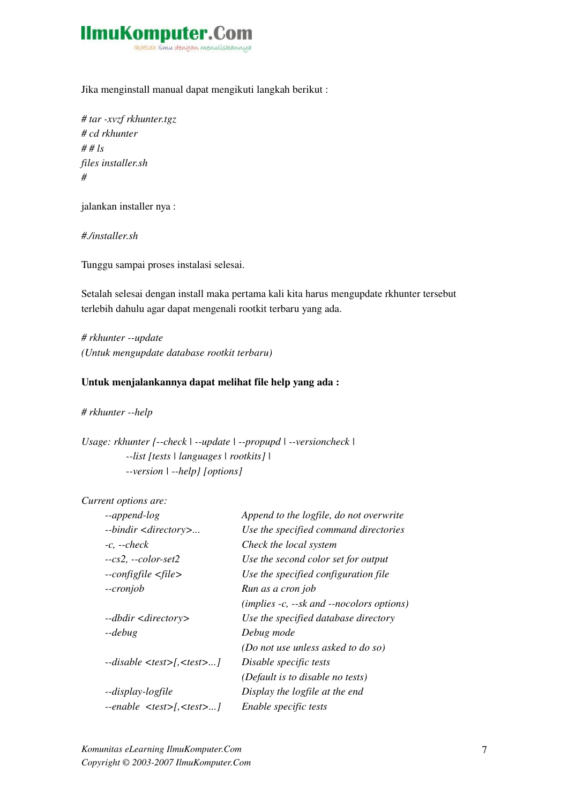

Jika menginstall manual dapat mengikuti langkah berikut :

*# tar xvzf rkhunter.tgz # cd rkhunter # # ls files installer.sh #* 

jalankan installer nya :

*#./installer.sh*

Tunggu sampai proses instalasi selesai.

Setalah selesai dengan install maka pertama kali kita harus mengupdate rkhunter tersebut terlebih dahulu agar dapat mengenali rootkit terbaru yang ada.

*# rkhunter update (Untuk mengupdate database rootkit terbaru)* 

#### Untuk menjalankannya dapat melihat file help yang ada :

# *rkhunter* --help

*Usage: rkhunter {--check | --update | --propupd | --versioncheck | list [tests | languages | rootkits] | version | help} [options]*

*Current options are:*

| --append-log                                      | Append to the logfile, do not overwrite     |
|---------------------------------------------------|---------------------------------------------|
| --bindir <directory></directory>                  | Use the specified command directories       |
| $-c, -check$                                      | Check the local system                      |
| $-cs2$ , $-color-set2$                            | Use the second color set for output         |
| $-configfile < file>$                             | Use the specified configuration file        |
| --cronjob                                         | Run as a cron job                           |
|                                                   | $(implies -c, --sk and --nocolors options)$ |
| --dbdir <directory></directory>                   | Use the specified database directory        |
| --debug                                           | Debug mode                                  |
|                                                   | (Do not use unless asked to do so)          |
| $-disable < \text{test} > \text{f}, \text{ \dots$ | Disable specific tests                      |
|                                                   | (Default is to disable no tests)            |
| --display-logfile                                 | Display the logfile at the end              |
| $-$ enable $\lt$ test>[, $\lt$ test>]             | Enable specific tests                       |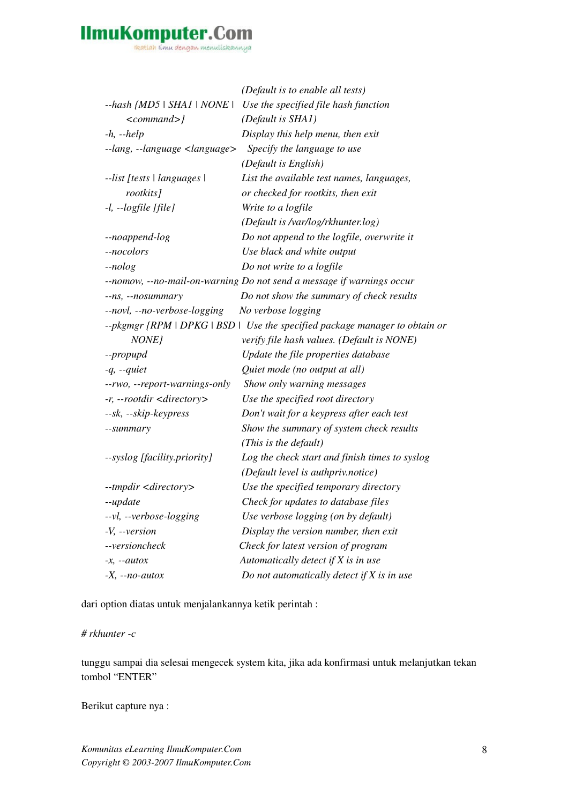# **IlmuKomputer.Com**

reatlah iimu dengan menuliskannya

|                                          | (Default is to enable all tests)                                            |
|------------------------------------------|-----------------------------------------------------------------------------|
| $-hash \{MD5   SHA1   NONE \}$           | Use the specified file hash function                                        |
| $\langle command \rangle$                | (Default is SHA1)                                                           |
| $-h$ , $-help$                           | Display this help menu, then exit                                           |
| --lang, --language <language></language> | Specify the language to use                                                 |
|                                          | (Default is English)                                                        |
| --list [tests   languages                | List the available test names, languages,                                   |
| rootkits]                                | or checked for rootkits, then exit                                          |
| $-l$ , $-l$ ogfile [file]                | Write to a logfile                                                          |
|                                          | (Default is /var/log/rkhunter.log)                                          |
| --noappend-log                           | Do not append to the logfile, overwrite it                                  |
| --nocolors                               | Use black and white output                                                  |
| $-nolog$                                 | Do not write to a logfile                                                   |
|                                          | --nomow, --no-mail-on-warning Do not send a message if warnings occur       |
| --ns, --nosummary                        | Do not show the summary of check results                                    |
| --novl, --no-verbose-logging             | No verbose logging                                                          |
|                                          | --pkgmgr {RPM \ DPKG \ BSD \ Use the specified package manager to obtain or |
| NONE}                                    | verify file hash values. (Default is NONE)                                  |
| --propupd                                | Update the file properties database                                         |
| $-q$ , $-quiet$                          | Quiet mode (no output at all)                                               |
| --rwo, --report-warnings-only            | Show only warning messages                                                  |
| -r, --rootdir <directory></directory>    | Use the specified root directory                                            |
| --sk, --skip-keypress                    | Don't wait for a keypress after each test                                   |
| --summary                                | Show the summary of system check results                                    |
|                                          | (This is the default)                                                       |
| --syslog [facility.priority]             | Log the check start and finish times to syslog                              |
|                                          | (Default level is authpriv.notice)                                          |
| --tmpdir <directory></directory>         | Use the specified temporary directory                                       |
| --update                                 | Check for updates to database files                                         |
| --vl, --verbose-logging                  | Use verbose logging (on by default)                                         |
| $-V, -version$                           | Display the version number, then exit                                       |
| --versioncheck                           | Check for latest version of program                                         |
| $-x$ , $-autox$                          | Automatically detect if X is in use                                         |
| $-X, -no-autox$                          | Do not automatically detect if $X$ is in use                                |

dari option diatas untuk menjalankannya ketik perintah :

#### *# rkhunter c*

tunggu sampai dia selesai mengecek system kita, jika ada konfirmasi untuk melanjutkan tekan tombol "ENTER"

Berikut capture nya :

*Komunitas eLearning IlmuKomputer.Com Copyright © 20032007 IlmuKomputer.Com*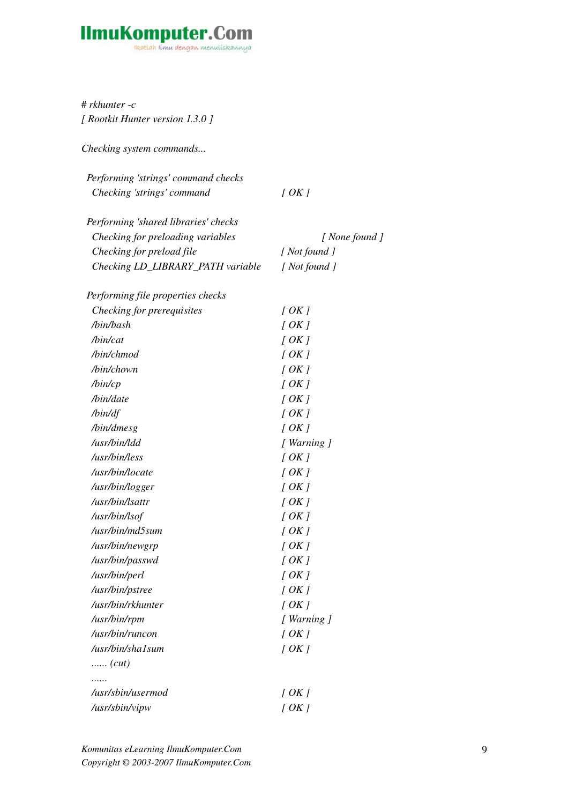# IlmuKomputer.Com

# *rkhunter c [ Rootkit Hunter version 1.3.0 ]* 

*Checking system commands...* 

| Performing 'strings' command checks  |                |
|--------------------------------------|----------------|
| Checking 'strings' command           | [OK]           |
| Performing 'shared libraries' checks |                |
| Checking for preloading variables    | [ None found ] |
| Checking for preload file            | [ Not found ]  |
| Checking LD_LIBRARY_PATH variable    | [ Not found ]  |
| Performing file properties checks    |                |
| Checking for prerequisites           | [OK]           |
| /bin/bash                            | [OK]           |
| /bin/cat                             | [OK]           |
| /bin/chmod                           | [OK]           |
| /bin/chown                           | [OK]           |
| $\frac{D^2}{2}$                      | [OK]           |
| /bin/date                            | [OK]           |
| /bin/df                              | [OK]           |
| /bin/dmesg                           | [OK]           |
| /usr/bin/ldd                         | [ Warning ]    |
| /usr/bin/less                        | [OK]           |
| /usr/bin/locate                      | [OK]           |
| /usr/bin/logger                      | [OK]           |
| /usr/bin/lsattr                      | [OK]           |
| /usr/bin/lsof                        | [OK]           |
| /usr/bin/md5sum                      | [OK]           |
| /usr/bin/newgrp                      | [OK]           |
| /usr/bin/passwd                      | [OK]           |
| /usr/bin/perl                        | [OK]           |
| /usr/bin/pstree                      | [OK]           |
| /usr/bin/rkhunter                    | [OK]           |
| /usr/bin/rpm                         | [ Warning ]    |
| /usr/bin/runcon                      | [OK]           |
| /usr/bin/sha1sum                     | [OK]           |
| (cut)                                |                |
| .                                    |                |
| /usr/sbin/usermod                    | [OK]           |
| /usr/sbin/vipw                       | [OK]           |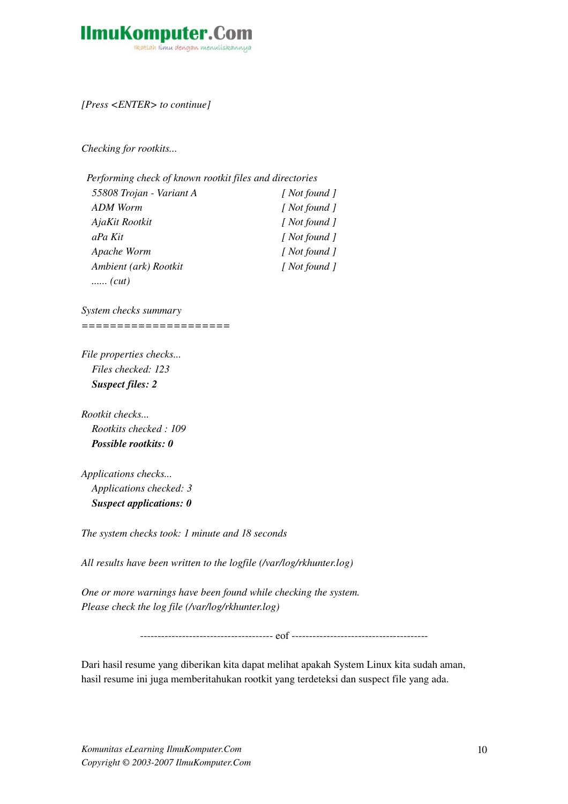

*[Press <ENTER> to continue]* 

*Checking for rootkits...* 

| Performing check of known rootkit files and directories |               |
|---------------------------------------------------------|---------------|
| 55808 Trojan - Variant A                                | [ Not found ] |
| ADM Worm                                                | [ Not found ] |
| AjaKit Rootkit                                          | [ Not found ] |
| aPa Kit                                                 | [ Not found ] |
| Apache Worm                                             | [ Not found ] |
| Ambient (ark) Rootkit                                   | [ Not found ] |
| (cut)                                                   |               |

*System checks summary =====================* 

*File properties checks... Files checked: 123 Suspect files: 2*

*Rootkit checks... Rootkits checked : 109 Possible rootkits: 0*

*Applications checks... Applications checked: 3 Suspect applications: 0*

*The system checks took: 1 minute and 18 seconds* 

*All results have been written to the logfile (/var/log/rkhunter.log)* 

*One or more warnings have been found while checking the system. Please check the log file (/var/log/rkhunter.log)*

eof

Dari hasil resume yang diberikan kita dapat melihat apakah System Linux kita sudah aman, hasil resume ini juga memberitahukan rootkit yang terdeteksi dan suspect file yang ada.